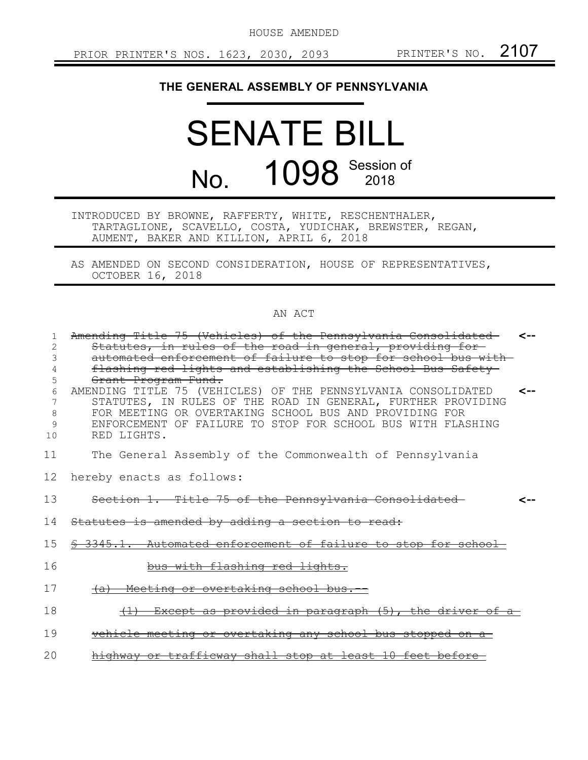HOUSE AMENDED

## **THE GENERAL ASSEMBLY OF PENNSYLVANIA**

## SENATE BILL No. **1098** Session of

INTRODUCED BY BROWNE, RAFFERTY, WHITE, RESCHENTHALER, TARTAGLIONE, SCAVELLO, COSTA, YUDICHAK, BREWSTER, REGAN, AUMENT, BAKER AND KILLION, APRIL 6, 2018

AS AMENDED ON SECOND CONSIDERATION, HOUSE OF REPRESENTATIVES, OCTOBER 16, 2018

## AN ACT

|        | Amending Title 75 (Vehicles) of the Pennsylvania Consolidated                        | <-- |
|--------|--------------------------------------------------------------------------------------|-----|
| 2      | Statutes, in rules of the road in general, providing for-                            |     |
| 3      | automated enforcement of failure to stop for school bus with-                        |     |
|        | flashing red lights and establishing the School Bus Safety                           |     |
| 5<br>6 | Grant Program Fund.<br>AMENDING TITLE 75 (VEHICLES) OF THE PENNSYLVANIA CONSOLIDATED | ⊂-- |
| 7      | STATUTES, IN RULES OF THE ROAD IN GENERAL, FURTHER PROVIDING                         |     |
| 8      | FOR MEETING OR OVERTAKING SCHOOL BUS AND PROVIDING FOR                               |     |
| 9      | ENFORCEMENT OF FAILURE TO STOP FOR SCHOOL BUS WITH FLASHING                          |     |
| 10     | RED LIGHTS.                                                                          |     |
|        |                                                                                      |     |
| 11     | The General Assembly of the Commonwealth of Pennsylvania                             |     |
|        |                                                                                      |     |
| 12     | hereby enacts as follows:                                                            |     |
| 13     | Section 1. Title 75 of the Pennsylvania Consolidated                                 |     |
|        |                                                                                      |     |
| 14     | Statutes is amended by adding a section to read:                                     |     |
|        |                                                                                      |     |
| 15     | \$ 3345.1. Automated enforcement of failure to stop for school-                      |     |
|        |                                                                                      |     |
| 16     | bus with flashing red lights.                                                        |     |
|        |                                                                                      |     |
| 17     | (a) Meeting or overtaking school bus.                                                |     |
| 18     | <u>Except as provided in paragraph (5), the driver of a-</u>                         |     |
|        |                                                                                      |     |
| 19     | vehicle meeting or overtaking any school bus stopped on a                            |     |
|        |                                                                                      |     |
| 20     | highway or trafficway shall stop at least 10 feet before-                            |     |
|        |                                                                                      |     |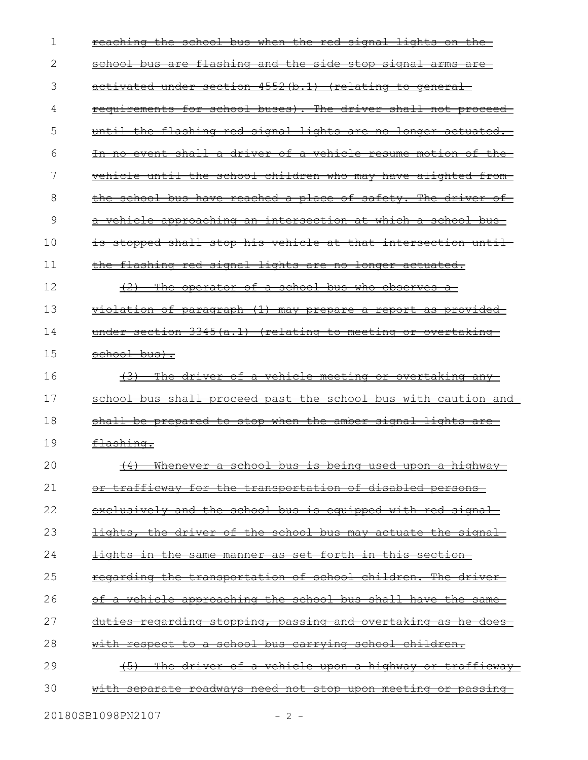| reaching the school bus when the red signal lights on the-                   |
|------------------------------------------------------------------------------|
| school bus are flashing and the side stop signal arms are-                   |
| activated under section 4552(b.1) (relating to general                       |
| requirements for school buses). The driver shall not proceed-                |
| until the flashing red signal lights are no longer actuated.                 |
| In no event shall a driver of a vehicle resume motion of<br><del>the</del> — |
| vehicle until the school children who may have alighted from-                |
| the school bus have reached a place of safety. The driver of                 |
| vehicle approaching an intersection at which a school bus-                   |
| is stopped shall stop his vehicle at that intersection until-                |
| the flashing red signal lights are no longer actuated.                       |
| The operator of a school bus who observes a<br>$+2$                          |
| violation of paragraph (1) may prepare a report as provided-                 |
| under section 3345(a.1) (relating to meeting or overtaking                   |
| school bus).                                                                 |
|                                                                              |
| The driver of a vehicle meeting or overtaking any-<br><del>(3)</del>         |
| school bus shall proceed past the school bus with caution and                |
| shall be prepared to stop when the amber signal lights are                   |
| <del>flashing.</del>                                                         |
| (4) Whenever a school bus is being used upon a highway                       |
| <u>or trafficway for the transportation of disabled persons-</u>             |
| exclusively and the school bus is equipped with red signal                   |
| <u>lights, the driver of the school bus may actuate the signal-</u>          |
| <u>lights in the same manner as set forth in this section-</u>               |
| regarding the transportation of school children. The driver-                 |
| <u>of a vehicle approaching the school bus shall have the same-</u>          |
| duties regarding stopping, passing and overtaking as he does                 |
| <u>with respect to a school bus carrying school children.</u>                |
| <u>The driver of a vehicle upon a highway or trafficway-</u><br>$+5$         |
|                                                                              |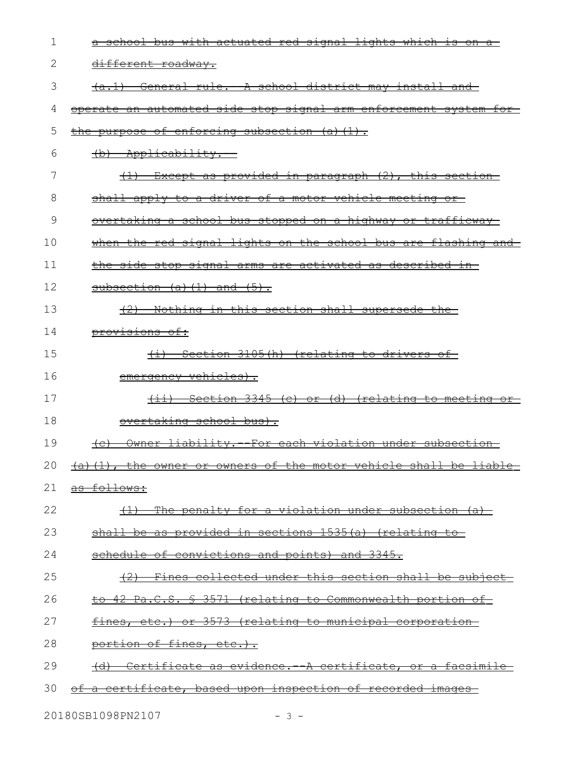| 1  | a school bus with actuated red signal lights which is on a                          |
|----|-------------------------------------------------------------------------------------|
| 2  | different roadway.                                                                  |
| 3  | (a.1) General rule. A school district may install and                               |
| 4  | operate an automated side stop signal arm enforcement system for-                   |
| 5  | the purpose of enforcing subsection (a)(1).                                         |
| 6  | (b) Applicability.                                                                  |
| 7  | (1) Except as provided in paragraph (2), this section                               |
| 8  | shall apply to a driver of a motor vehicle meeting or                               |
| 9  | <u>overtaking a school bus stopped on a highway or trafficway-</u>                  |
| 10 | when the red signal lights on the school bus are flashing and                       |
| 11 | the side stop signal arms are activated as described in-                            |
| 12 | subsection $(a)$ $(1)$ and $(5)$ .                                                  |
| 13 | (2) Nothing in this section shall supersede the                                     |
| 14 | <del>provisions of:</del>                                                           |
| 15 | (i) Section 3105(h) (relating to drivers of                                         |
| 16 | emergency vehicles).                                                                |
| 17 | <u>Section 3345 (c) or (d) (relating to meeting or-</u><br><del>(11)</del>          |
| 18 | overtaking school bus).                                                             |
| 19 | Owner liability. - For each violation under subsection<br><del>(c)</del>            |
|    | 20 $\rightarrow$ (a) (1), the owner or owners of the motor vehicle shall be liable- |
| 21 | as follows:                                                                         |
| 22 | The penalty for a violation under subsection (a)<br>$\left(\pm\right)$              |
| 23 | shall be as provided in sections 1535(a) (relating                                  |
| 24 | schedule of convictions and points) and 3345.                                       |
| 25 | Fines collected under this section shall be subject-                                |
| 26 | to 42 Pa.C.S. § 3571 (relating to Commonwealth portion of                           |
| 27 | fines, etc.) or 3573 (relating to municipal corporation                             |
| 28 | portion of fines, etc.).                                                            |
| 29 | Certificate as evidence. A certificate, or a facsimile<br><del>(d) –</del>          |
| 30 | a certificate, based upon inspection of recorded images<br>⊖£                       |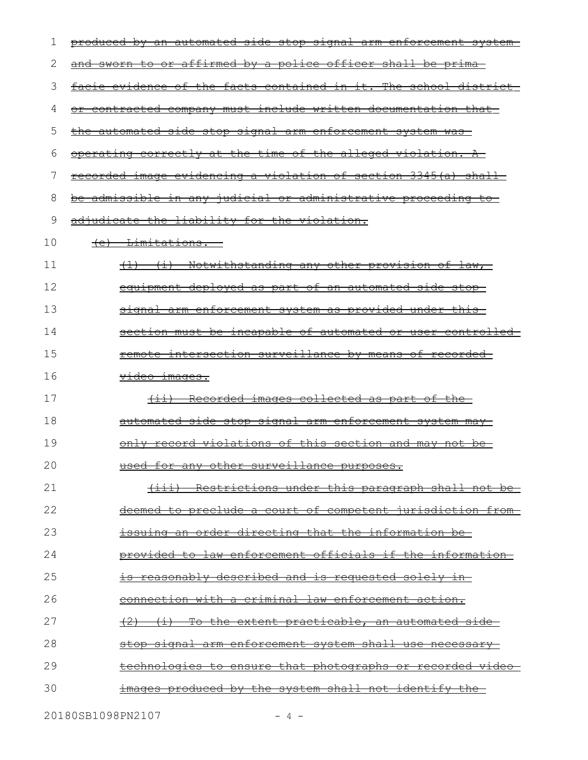| 1  | produced by an automated side stop signal arm enforcement system- |
|----|-------------------------------------------------------------------|
| 2  | and sworn to or affirmed by a police officer shall be prima       |
| 3  | facie evidence of the facts contained in it. The school district- |
| 4  | or contracted company must include written documentation that     |
| 5  | the automated side stop signal arm enforcement system was         |
| 6  | operating correctly at the time of the alleged violation. A       |
| 7  | recorded image evidencing a violation of section 3345(a) shall    |
| 8  | be admissible in any judicial or administrative proceeding to     |
| 9  | adjudicate the liability for the violation.                       |
| 10 | (e) Limitations.                                                  |
| 11 | <u>(1) (i) Notwithstanding any other provision of law, </u>       |
| 12 | equipment deployed as part of an automated side stop-             |
| 13 | signal arm enforcement system as provided under this-             |
| 14 | section must be incapable of automated or user controlled-        |
| 15 | remote intersection surveillance by means of recorded-            |
| 16 | <del>video images.</del>                                          |
| 17 | (ii) Recorded images collected as part of the                     |
| 18 | automated side stop signal arm enforcement system may-            |
| 19 | only record violations of this section and may not be-            |
| 20 | used for any other surveillance purposes                          |
| 21 | <u>(iii) Restrictions under this paragraph shall not be-</u>      |
| 22 | <u>deemed to preclude a court of competent jurisdiction from-</u> |
| 23 | issuing an order directing that the information be-               |
| 24 | provided to law enforcement officials if the information-         |
| 25 | <u>is reasonably described and is requested solely in-</u>        |
| 26 | <u>connection with a criminal law enforcement action.</u>         |
| 27 | (2) (i) To the extent practicable, an automated side-             |
| 28 | stop signal arm enforcement system shall use necessary            |
| 29 | <u>technologies to ensure that photographs or recorded video-</u> |
| 30 | <u>images produced by the system shall not identify the-</u>      |
|    |                                                                   |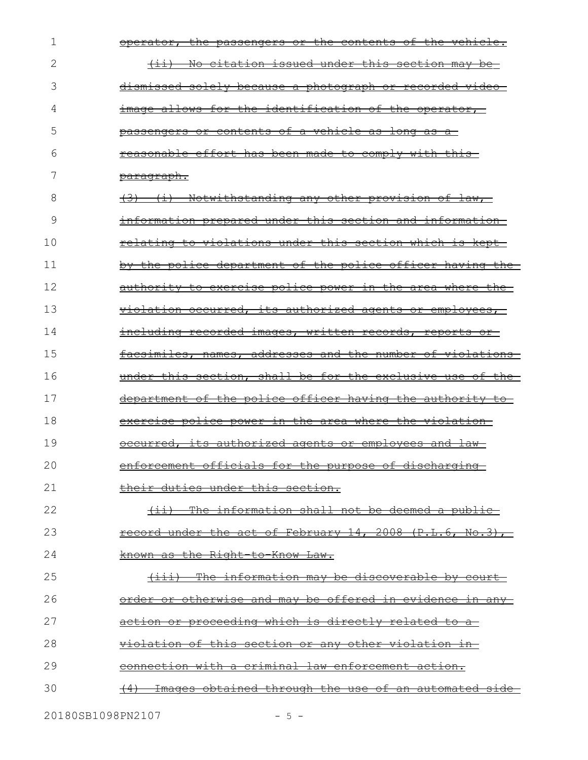| 1  | operator, the passengers or the contents of the vehicle.    |
|----|-------------------------------------------------------------|
| 2  | (ii) No citation issued under this section may be           |
| 3  | dismissed solely because a photograph or recorded video-    |
| 4  | image allows for the identification of the operator,        |
| 5  | passengers or contents of a vehicle as long as a            |
| 6  | reasonable effort has been made to comply with this-        |
| 7  | <u>paragraph.</u>                                           |
| 8  | <u>(3) (i) Notwithstanding any other provision of law, </u> |
| 9  | information prepared under this section and information     |
| 10 | relating to violations under this section which is kept-    |
| 11 | by the police department of the police officer having the   |
| 12 | authority to exercise police power in the area where the-   |
| 13 | violation occurred, its authorized agents or employees,     |
| 14 | including recorded images, written records, reports or      |
| 15 | facsimiles, names, addresses and the number of violations   |
| 16 | under this section, shall be for the exclusive use of the   |
| 17 | department of the police officer having the authority to    |
| 18 | exercise police power in the area where the violation-      |
| 19 | occurred, its authorized agents or employees and law-       |
| 20 | enforcement officials for the purpose of discharging        |
| 21 | their duties under this section.                            |
| 22 | (ii) The information shall not be deemed a public-          |
| 23 | record under the act of February 14, 2008 (P.L.6, No.3),    |
| 24 | known as the Right-to-Know Law.                             |
| 25 | (iii) The information may be discoverable by court-         |
| 26 | order or otherwise and may be offered in evidence in any-   |
| 27 | <u>action or proceeding which is directly related to a-</u> |
| 28 | <u>violation of this section or any other violation in-</u> |
| 29 | connection with a criminal law enforcement action.          |
| 30 | Images obtained through the use of an automated side        |
|    |                                                             |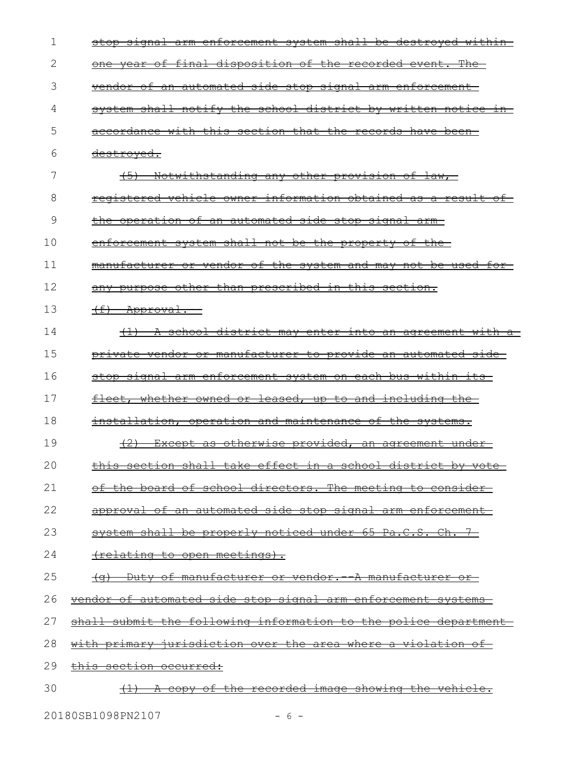| 1  | arm enforcement system shall be destroyed within-<br><del>stop sıqnal</del> |
|----|-----------------------------------------------------------------------------|
| 2  | of final disposition of the recorded event. The<br><del>vear</del>          |
| 3  | vendor of an automated side stop signal arm enforcement                     |
| 4  | system shall notify the school district by written notice in                |
| 5  | accordance with this section that the records have been                     |
| 6  | <del>destroyed.</del>                                                       |
| 7  | (5) Notwithstanding any other provision of law,                             |
| 8  | registered vehicle owner information obtained as a result of                |
| 9  | the operation of an automated side stop signal arm                          |
| 10 | enforcement system shall not be the property of the-                        |
| 11 | manufacturer or vendor of the system and may not be used for-               |
| 12 | any purpose other than prescribed in this section.                          |
| 13 | $(f)$ Approval.                                                             |
| 14 | (1) A school district may enter into an agreement with a                    |
| 15 | <u>private vendor or manufacturer to provide an automated side</u>          |
| 16 | stop signal arm enforcement system on each bus within its                   |
| 17 | fleet, whether owned or leased, up to and including the-                    |
| 18 | installation, operation and maintenance of the systems.                     |
| 19 | <del>(2)</del><br>Except as otherwise provided, an agreement under-         |
| 20 | this section shall take effect in a school district by vote                 |
| 21 | of the board of school directors. The meeting to consider-                  |
| 22 | approval of an automated side stop signal arm enforcement-                  |
| 23 | system shall be properly noticed under 65 Pa.C.S. Ch. 7-                    |
| 24 | <u>(relating to open meetings).</u>                                         |
| 25 | <u> (q)  Duty of manufacturer or vendor.- A manufacturer or-</u>            |
| 26 | <u>vendor of automated side stop signal arm enforcement systems-</u>        |
| 27 | shall submit the following information to the police department             |
| 28 | with primary jurisdiction over the area where a violation of                |
| 29 | this section occurred:                                                      |
| 30 | (1) A copy of the recorded image showing the vehicle.                       |
|    |                                                                             |

20180SB1098PN2107 - 6 -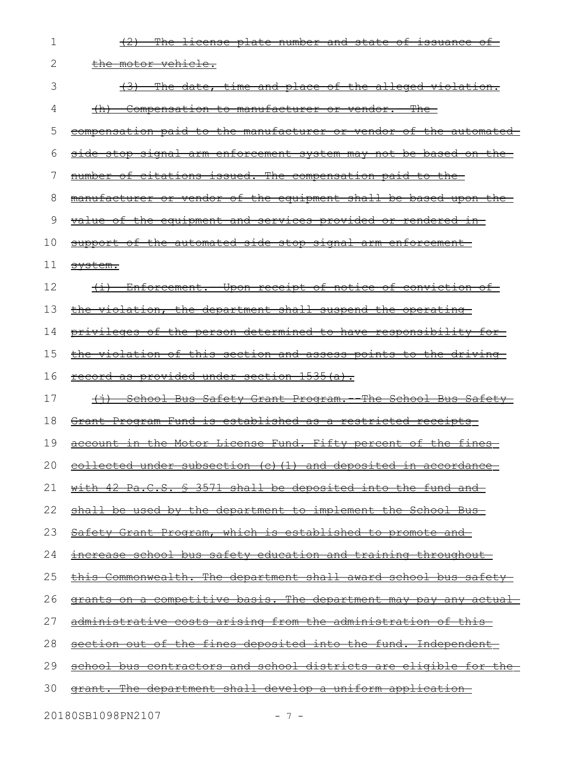| 1  | (2) The license plate number and state of issuance of                |
|----|----------------------------------------------------------------------|
| 2  | <u>the motor vehicle.</u>                                            |
| 3  | (3) The date, time and place of the alleged violation.               |
| 4  | (h) Compensation to manufacturer or vendor. The                      |
| 5  | compensation paid to the manufacturer or vendor of the automated     |
| 6  | side stop signal arm enforcement system may not be based on the      |
| 7  | number of citations issued. The compensation paid to the             |
| 8  | manufacturer or vendor of the equipment shall be based upon the      |
| 9  | value of the equipment and services provided or rendered in-         |
| 10 | support of the automated side stop signal arm enforcement            |
| 11 | <del>system.</del>                                                   |
| 12 | <u>(i) Enforcement. Upon receipt of notice of conviction of</u>      |
| 13 | the violation, the department shall suspend the operating            |
| 14 | privileges of the person determined to have responsibility for-      |
| 15 | the violation of this section and assess points to the driving-      |
| 16 | record as provided under section 1535(a).                            |
| 17 | (i) School Bus Safety Grant Program. The School Bus Safety           |
| 18 | <u>Grant Program Fund is established as a restricted receipts-</u>   |
| 19 | account in the Motor License Fund. Fifty percent of the fines        |
|    | 20 collected under subsection (c) (1) and deposited in accordance    |
| 21 | with 42 Pa.C.S. § 3571 shall be deposited into the fund and          |
| 22 | <u>shall be used by the department to implement the School Bus-</u>  |
| 23 | <u>Safety Grant Program, which is established to promote and</u>     |
| 24 | <u>increase school bus safety education and training throughout-</u> |
| 25 | this Commonwealth. The department shall award school bus safety-     |
| 26 | grants on a competitive basis. The department may pay any actual     |
| 27 | <u>administrative costs arising from the administration of this-</u> |
| 28 | section out of the fines deposited into the fund. Independent        |
| 29 | school bus contractors and school districts are eligible for the     |
| 30 | <u>grant. The department shall develop a uniform application-</u>    |
|    |                                                                      |

20180SB1098PN2107 - 7 -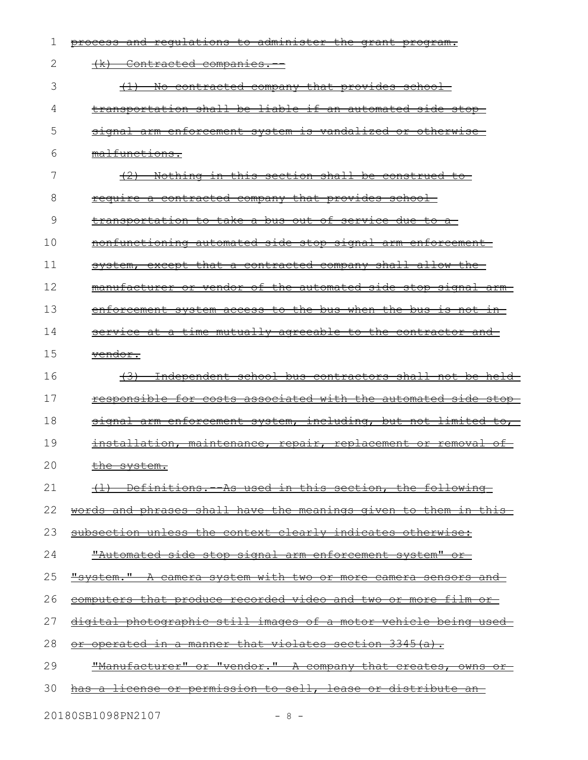| 1  | and requlations to administer the grant program.<br><del>process</del>  |
|----|-------------------------------------------------------------------------|
| 2  | $+x$ ) –<br><del>-Contracted companies.</del>                           |
| 3  | No contracted company that provides school<br>$+\pm$ ) $-$              |
| 4  | transportation shall be liable if an automated side stop-               |
| 5  | <u>signal arm enforcement system is vandalized or otherwise-</u>        |
| 6  | malfunctions.                                                           |
| 7  | Nothing in this section shall be construed to-                          |
| 8  | require a contracted company that provides school                       |
| 9  | transportation to take a bus out of service due to a-                   |
| 10 | <u>nonfunctioning automated side stop signal arm enforcement-</u>       |
| 11 | system, except that a contracted company shall allow the                |
| 12 | manufacturer or vendor of the automated side stop signal arm-           |
| 13 | enforcement system access to the bus when the bus is not in-            |
| 14 | service at a time mutually agreeable to the contractor and              |
| 15 | <del>vendor.</del>                                                      |
| 16 | <del>(3)</del><br>Independent school bus contractors shall not be held  |
|    |                                                                         |
| 17 | responsible for costs associated with the automated side stop           |
| 18 | signal arm enforcement system, including, but not limited to,           |
| 19 | <u>installation, maintenance, repair, replacement or removal of </u>    |
| 20 | the system.                                                             |
| 21 | <u>(1) Definitions.--As used in this section, the following-</u>        |
| 22 | <u>words and phrases shall have the meanings given to them in this-</u> |
| 23 | subsection unless the context clearly indicates otherwise:              |
| 24 | <u>"Automated side stop signal arm enforcement system" or-</u>          |
| 25 | <u> "system." A camera system with two or more camera sensors and</u>   |
| 26 | <u>computers that produce recorded video and two or more film or-</u>   |
| 27 | <u>digital photographic still images of a motor vehicle being used-</u> |
| 28 | <u>or operated in a manner that violates section 3345(a).</u>           |
| 29 | "Manufacturer" or "vendor." A company that creates, owns or             |
| 30 | <u>has a license or permission to sell, lease or distribute an-</u>     |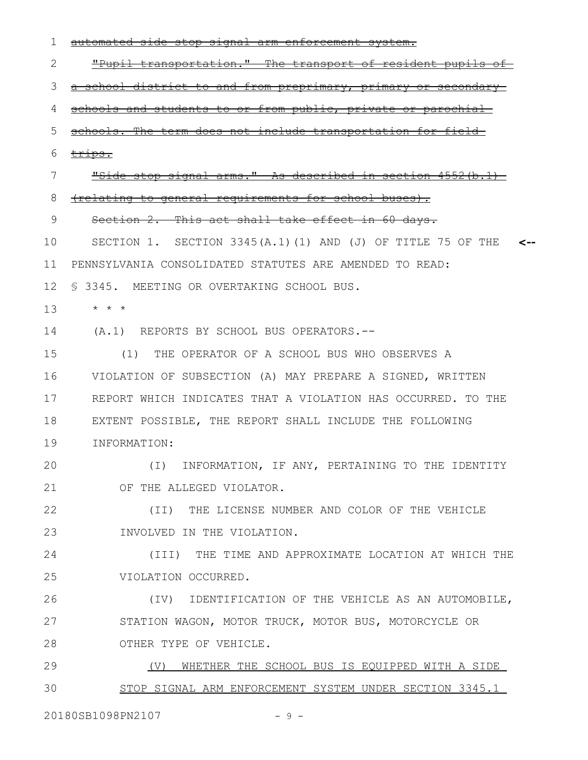| 1               |                                                              |
|-----------------|--------------------------------------------------------------|
| 2               | "Pupil transportation." The transport of resident pupils     |
| 3               | a school district to and from preprimary, primary<br>⊖£      |
| 4               | schools and students to or from public, private or parochial |
| 5               | schools. The term does not include transportation for field  |
| 6               | trips.                                                       |
| 7               | "Side stop signal arms." As described in section 4552(b.1)   |
| 8               | (relating to general requirements for school buses).         |
| 9               | Section 2. This act shall take effect in 60 days.            |
| 10              | SECTION 1. SECTION 3345(A.1)(1) AND (J) OF TITLE 75 OF THE   |
| 11              | PENNSYLVANIA CONSOLIDATED STATUTES ARE AMENDED TO READ:      |
| 12 <sup>°</sup> | § 3345. MEETING OR OVERTAKING SCHOOL BUS.                    |
| 13              | * * *                                                        |
| 14              | (A.1) REPORTS BY SCHOOL BUS OPERATORS.--                     |
| 15              | (1) THE OPERATOR OF A SCHOOL BUS WHO OBSERVES A              |
| 16              | VIOLATION OF SUBSECTION (A) MAY PREPARE A SIGNED, WRITTEN    |
| 17              | REPORT WHICH INDICATES THAT A VIOLATION HAS OCCURRED. TO THE |
| 18              | EXTENT POSSIBLE, THE REPORT SHALL INCLUDE THE FOLLOWING      |
| 19              | INFORMATION:                                                 |
| 20              | INFORMATION, IF ANY, PERTAINING TO THE IDENTITY<br>( I )     |
| 21              | OF THE ALLEGED VIOLATOR.                                     |
| 22              | (II) THE LICENSE NUMBER AND COLOR OF THE VEHICLE             |
| 23              | INVOLVED IN THE VIOLATION.                                   |
| 24              | (III) THE TIME AND APPROXIMATE LOCATION AT WHICH THE         |
| 25              | VIOLATION OCCURRED.                                          |
| 26              | (IV) IDENTIFICATION OF THE VEHICLE AS AN AUTOMOBILE,         |
| 27              | STATION WAGON, MOTOR TRUCK, MOTOR BUS, MOTORCYCLE OR         |
| 28              | OTHER TYPE OF VEHICLE.                                       |
| 29              | WHETHER THE SCHOOL BUS IS EQUIPPED WITH A SIDE<br>(V)        |
| 30              | STOP SIGNAL ARM ENFORCEMENT SYSTEM UNDER SECTION 3345.1      |
|                 | 20180SB1098PN2107<br>$-9 -$                                  |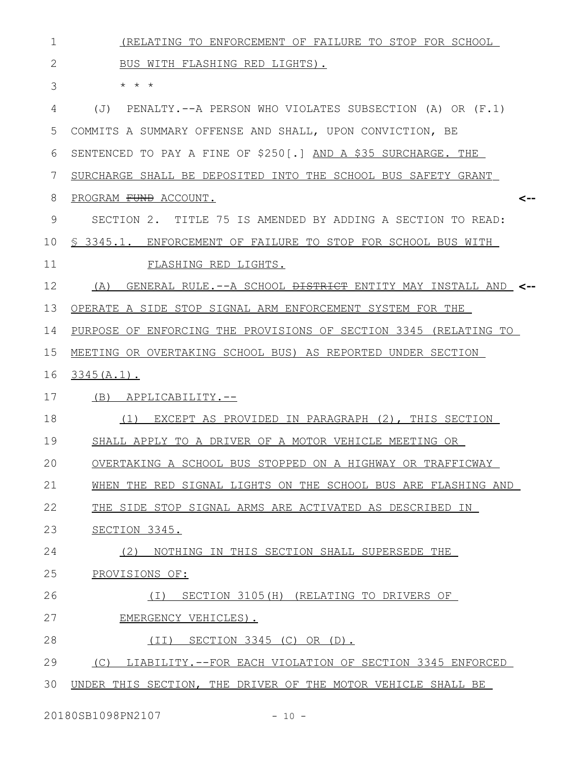| $\mathbf 1$  | (RELATING TO ENFORCEMENT OF FAILURE TO STOP FOR SCHOOL                    |
|--------------|---------------------------------------------------------------------------|
| $\mathbf{2}$ | BUS WITH FLASHING RED LIGHTS).                                            |
| 3            | $\star$ $\star$ $\star$                                                   |
| 4            | PENALTY.--A PERSON WHO VIOLATES SUBSECTION (A) OR (F.1)<br>(J)            |
| 5            | COMMITS A SUMMARY OFFENSE AND SHALL, UPON CONVICTION, BE                  |
| 6            | SENTENCED TO PAY A FINE OF \$250[.] AND A \$35 SURCHARGE. THE             |
| 7            | SURCHARGE SHALL BE DEPOSITED INTO THE SCHOOL BUS SAFETY GRANT             |
| 8            | PROGRAM FUND ACCOUNT.<br><--                                              |
| 9            | SECTION 2. TITLE 75 IS AMENDED BY ADDING A SECTION TO READ:               |
| 10           | \$ 3345.1. ENFORCEMENT OF FAILURE TO STOP FOR SCHOOL BUS WITH             |
| 11           | FLASHING RED LIGHTS.                                                      |
| 12           | GENERAL RULE.--A SCHOOL <del>DISTRICT</del> ENTITY MAY INSTALL AND<br>(A) |
| 13           | OPERATE A SIDE STOP SIGNAL ARM ENFORCEMENT SYSTEM FOR THE                 |
| 14           | PURPOSE OF ENFORCING THE PROVISIONS OF SECTION 3345 (RELATING TO          |
| 15           | MEETING OR OVERTAKING SCHOOL BUS) AS REPORTED UNDER SECTION               |
| 16           | $3345(A.1)$ .                                                             |
| 17           | (B) APPLICABILITY.--                                                      |
| 18           | EXCEPT AS PROVIDED IN PARAGRAPH (2), THIS SECTION<br>(1)                  |
| 19           | SHALL APPLY TO A DRIVER OF A MOTOR VEHICLE MEETING OR                     |
| 20           | OVERTAKING A SCHOOL BUS STOPPED ON A HIGHWAY OR TRAFFICWAY                |
| 21           | WHEN THE RED SIGNAL LIGHTS ON THE SCHOOL BUS ARE FLASHING AND             |
| 22           | THE SIDE STOP SIGNAL ARMS ARE ACTIVATED AS DESCRIBED IN                   |
| 23           | SECTION 3345.                                                             |
| 24           | (2) NOTHING IN THIS SECTION SHALL SUPERSEDE THE                           |
| 25           | PROVISIONS OF:                                                            |
| 26           | (I) SECTION 3105(H) (RELATING TO DRIVERS OF                               |
| 27           | EMERGENCY VEHICLES).                                                      |
| 28           | (II) SECTION 3345 (C) OR (D).                                             |
| 29           | (C) LIABILITY.--FOR EACH VIOLATION OF SECTION 3345 ENFORCED               |
| 30           | UNDER THIS SECTION, THE DRIVER OF THE MOTOR VEHICLE SHALL BE              |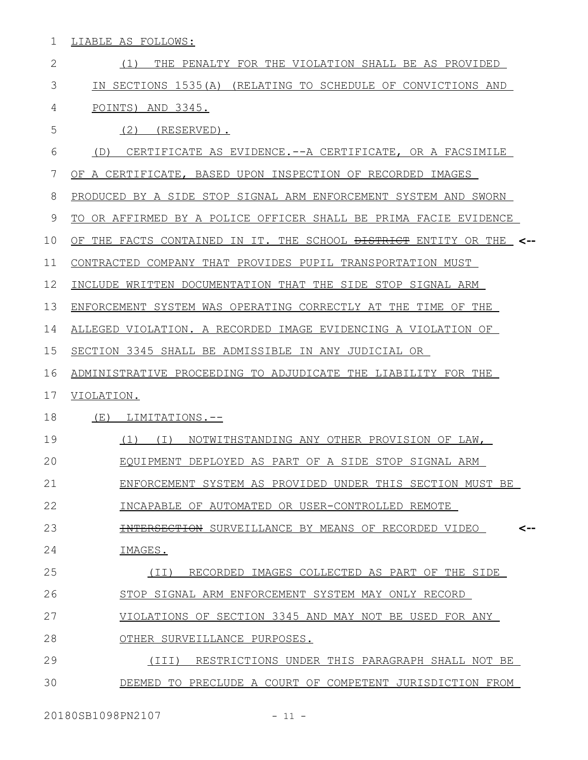1 LIABLE AS FOLLOWS:

| $\overline{2}$ | (1)<br>THE PENALTY FOR THE VIOLATION SHALL BE AS PROVIDED                      |
|----------------|--------------------------------------------------------------------------------|
| 3              | IN SECTIONS 1535(A) (RELATING TO SCHEDULE OF CONVICTIONS AND                   |
| 4              | POINTS) AND 3345.                                                              |
| 5              | (2)<br>(RESERVED).                                                             |
| 6              | CERTIFICATE AS EVIDENCE.--A CERTIFICATE, OR A FACSIMILE<br>(D)                 |
| 7              | OF A CERTIFICATE, BASED UPON INSPECTION OF RECORDED IMAGES                     |
| 8              | PRODUCED BY A SIDE STOP SIGNAL ARM ENFORCEMENT SYSTEM AND SWORN                |
| $\mathcal{G}$  | TO OR AFFIRMED BY A POLICE OFFICER SHALL BE PRIMA FACIE EVIDENCE               |
| 10             | OF THE FACTS CONTAINED IN IT. THE SCHOOL <del>DISTRICT</del> ENTITY OR THE <-- |
| 11             | CONTRACTED COMPANY THAT PROVIDES PUPIL TRANSPORTATION MUST                     |
| 12             | INCLUDE WRITTEN DOCUMENTATION THAT THE SIDE STOP SIGNAL ARM                    |
| 13             | ENFORCEMENT SYSTEM WAS OPERATING CORRECTLY AT THE TIME OF THE                  |
| 14             | ALLEGED VIOLATION. A RECORDED IMAGE EVIDENCING A VIOLATION OF                  |
| 15             | SECTION 3345 SHALL BE ADMISSIBLE IN ANY JUDICIAL OR                            |
| 16             | ADMINISTRATIVE PROCEEDING TO ADJUDICATE THE LIABILITY FOR THE                  |
| 17             | VIOLATION.                                                                     |
| 18             | (E)<br>LIMITATIONS.--                                                          |
| 19             | NOTWITHSTANDING ANY OTHER PROVISION OF LAW,<br>$(1)$ $(1)$                     |
| 20             | EQUIPMENT DEPLOYED AS PART OF A SIDE STOP SIGNAL ARM                           |
| 21             | ENFORCEMENT SYSTEM AS PROVIDED UNDER THIS SECTION MUST BE                      |
| 22             | INCAPABLE OF AUTOMATED OR USER-CONTROLLED REMOTE                               |
| 23             | <del>INTERSECTION</del> SURVEILLANCE BY MEANS OF RECORDED VIDEO<br><--         |
| 24             | IMAGES.                                                                        |
| 25             | RECORDED IMAGES COLLECTED AS PART OF THE SIDE<br>(TI)                          |
| 26             | STOP SIGNAL ARM ENFORCEMENT SYSTEM MAY ONLY RECORD                             |
| 27             | VIOLATIONS OF SECTION 3345 AND MAY NOT BE USED FOR ANY                         |
| 28             | OTHER SURVEILLANCE PURPOSES.                                                   |
| 29             | RESTRICTIONS UNDER THIS PARAGRAPH SHALL NOT BE<br>(TII)                        |
| 30             | DEEMED TO PRECLUDE A COURT OF COMPETENT JURISDICTION FROM                      |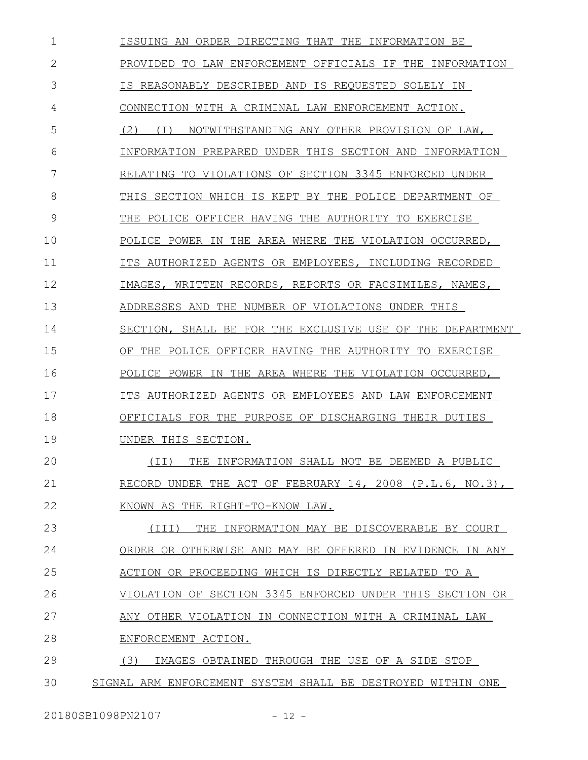ISSUING AN ORDER DIRECTING THAT THE INFORMATION BE PROVIDED TO LAW ENFORCEMENT OFFICIALS IF THE INFORMATION IS REASONABLY DESCRIBED AND IS REQUESTED SOLELY IN CONNECTION WITH A CRIMINAL LAW ENFORCEMENT ACTION. (2) (I) NOTWITHSTANDING ANY OTHER PROVISION OF LAW, INFORMATION PREPARED UNDER THIS SECTION AND INFORMATION RELATING TO VIOLATIONS OF SECTION 3345 ENFORCED UNDER THIS SECTION WHICH IS KEPT BY THE POLICE DEPARTMENT OF THE POLICE OFFICER HAVING THE AUTHORITY TO EXERCISE POLICE POWER IN THE AREA WHERE THE VIOLATION OCCURRED, ITS AUTHORIZED AGENTS OR EMPLOYEES, INCLUDING RECORDED IMAGES, WRITTEN RECORDS, REPORTS OR FACSIMILES, NAMES, ADDRESSES AND THE NUMBER OF VIOLATIONS UNDER THIS SECTION, SHALL BE FOR THE EXCLUSIVE USE OF THE DEPARTMENT OF THE POLICE OFFICER HAVING THE AUTHORITY TO EXERCISE POLICE POWER IN THE AREA WHERE THE VIOLATION OCCURRED, ITS AUTHORIZED AGENTS OR EMPLOYEES AND LAW ENFORCEMENT OFFICIALS FOR THE PURPOSE OF DISCHARGING THEIR DUTIES UNDER THIS SECTION. (II) THE INFORMATION SHALL NOT BE DEEMED A PUBLIC RECORD UNDER THE ACT OF FEBRUARY 14, 2008 (P.L.6, NO.3), KNOWN AS THE RIGHT-TO-KNOW LAW. (III) THE INFORMATION MAY BE DISCOVERABLE BY COURT ORDER OR OTHERWISE AND MAY BE OFFERED IN EVIDENCE IN ANY ACTION OR PROCEEDING WHICH IS DIRECTLY RELATED TO A VIOLATION OF SECTION 3345 ENFORCED UNDER THIS SECTION OR ANY OTHER VIOLATION IN CONNECTION WITH A CRIMINAL LAW ENFORCEMENT ACTION. (3) IMAGES OBTAINED THROUGH THE USE OF A SIDE STOP SIGNAL ARM ENFORCEMENT SYSTEM SHALL BE DESTROYED WITHIN ONE 1 2 3 4 5 6 7 8 9 10 11 12 13 14 15 16 17 18 19  $20$ 21 22 23 24 25 26 27 28 29 30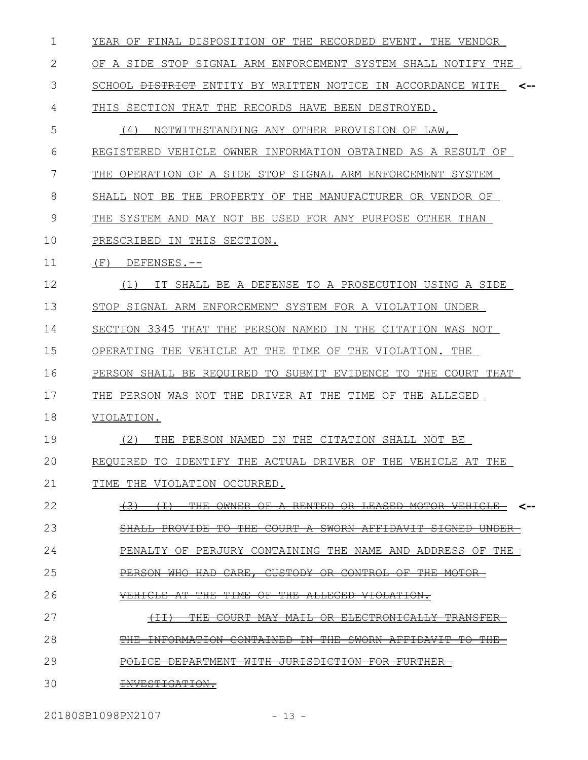| 1  | YEAR OF FINAL DISPOSITION OF THE RECORDED EVENT. THE VENDOR                                                                                 |
|----|---------------------------------------------------------------------------------------------------------------------------------------------|
| 2  | OF A SIDE STOP SIGNAL ARM ENFORCEMENT SYSTEM SHALL NOTIFY THE                                                                               |
| 3  | SCHOOL <del>DISTRICT</del> ENTITY BY WRITTEN NOTICE IN ACCORDANCE WITH<br><--                                                               |
| 4  | THIS SECTION THAT THE RECORDS HAVE BEEN DESTROYED.                                                                                          |
| 5  | (4)<br>NOTWITHSTANDING ANY OTHER PROVISION OF LAW,                                                                                          |
| 6  | REGISTERED VEHICLE OWNER INFORMATION OBTAINED AS A RESULT OF                                                                                |
| 7  | THE OPERATION OF A SIDE STOP SIGNAL ARM ENFORCEMENT SYSTEM                                                                                  |
| 8  | SHALL NOT BE THE PROPERTY OF THE MANUFACTURER OR VENDOR OF                                                                                  |
| 9  | THE SYSTEM AND MAY NOT BE USED FOR ANY PURPOSE OTHER THAN                                                                                   |
| 10 | PRESCRIBED IN THIS SECTION.                                                                                                                 |
| 11 | (F)<br>DEFENSES.--                                                                                                                          |
| 12 | (1)<br>IT SHALL BE A DEFENSE TO A PROSECUTION USING A SIDE                                                                                  |
| 13 | STOP SIGNAL ARM ENFORCEMENT SYSTEM FOR A VIOLATION UNDER                                                                                    |
| 14 | SECTION 3345 THAT THE PERSON NAMED IN THE CITATION WAS NOT                                                                                  |
| 15 | OPERATING THE VEHICLE AT THE TIME OF THE VIOLATION. THE                                                                                     |
| 16 | PERSON SHALL BE REQUIRED TO SUBMIT EVIDENCE TO THE COURT THAT                                                                               |
| 17 | THE PERSON WAS NOT THE DRIVER AT THE TIME OF THE ALLEGED                                                                                    |
| 18 | VIOLATION.                                                                                                                                  |
| 19 | (2)<br>THE PERSON NAMED IN THE CITATION SHALL NOT BE                                                                                        |
| 20 | REOUIRED TO IDENTIFY THE ACTUAL DRIVER OF THE VEHICLE AT THE                                                                                |
| 21 | TIME THE VIOLATION OCCURRED.                                                                                                                |
| 22 | <del>RENTED OR</del><br><del>LEASED</del><br><del>OWNER</del><br><del>MOTOR-</del><br><del>VEHICLE</del> -<br>⊖⊬<br><--<br><del>( 3 )</del> |
| 23 | PROVIDE TO THE COURT A SWORN AFFIDAVIT SIGNED<br><b>SHALL</b><br><del>UNDER</del>                                                           |
| 24 | CONTAINING THE<br><del>PENALTY</del><br><del>PERJURY</del><br><b>NAME</b><br><del>AND ADDRESS</del><br>⊖F<br>⊖⊬<br>ਜਸਲ                      |
| 25 | CARE, CUSTODY<br><b>PERSON</b><br><del>CONTROL OF</del><br><del>THE MOTOR</del><br><del>HAD</del><br><del>WHO-</del><br><del>OR -</del>     |
| 26 | <del>TIME</del><br><del>THE</del><br>⊖₽<br><del>ALLEGED</del><br><del>VIOLATION.</del>                                                      |
| 27 | <b>ELECTRONICALLY</b><br>$+1$<br><del>THE</del><br><del>COURT</del><br><del>MAY</del><br><del>MAIL</del><br>θR<br><del>TRANSFER</del>       |
| 28 | <del>INFORMATION</del><br>CONTAINED<br><del>THE</del><br>SWORN<br>AFFIDAVIT<br>$\pm \Theta$<br>m t t t.<br><del>THE</del><br>ΞN<br>ᆍ        |
| 29 | <del>DEPARTMENT</del><br>JURISDICTION<br><del>FURTHER-</del><br><del>WITH</del><br><del>FOR</del>                                           |
| 30 | INVESTIGATION.                                                                                                                              |

20180SB1098PN2107 - 13 -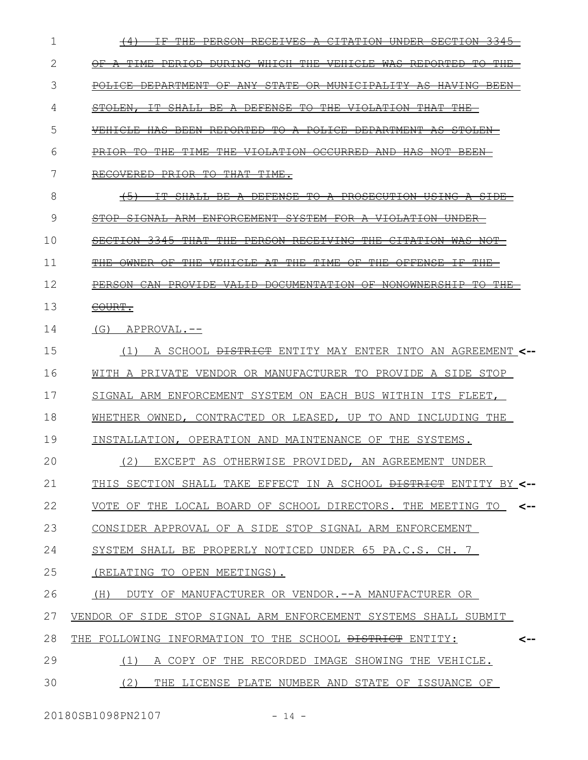| 1  |                                                                                                                                                              |
|----|--------------------------------------------------------------------------------------------------------------------------------------------------------------|
| 2  | $\pm_{\rm HE}$<br><del>a time</del><br><del>WHICH</del><br>$\Theta$ F $-$<br><del>PERIOD-</del><br><del>DURING</del><br><del>VEHICLE</del><br><del>WAS</del> |
| 3  | POLICE DEPARTMENT<br><del>OR MUNICIPALITY</del><br>−OF                                                                                                       |
| 4  | <del>THE</del><br><del>STOLEN.</del>                                                                                                                         |
| 5  | <del>TO</del><br><del>PORTED</del><br><del>POLICE</del><br>$\overline{\phantom{a}}$                                                                          |
| 6  | <del>OCCURRED</del>                                                                                                                                          |
| 7  | ⊞⊖<br><del>THAT</del><br><del>RECOVERED</del><br><del>PRIOR</del><br><del>TIME.</del>                                                                        |
| 8  | $\leftrightarrow$<br><del>DE FENSE</del><br><del>TO-</del>                                                                                                   |
| 9  |                                                                                                                                                              |
| 10 | <del>THF</del><br><del>RECEIVING</del>                                                                                                                       |
| 11 | A∓<br>平田民<br>平干ME<br><del>ዋዘፍ</del><br>⊖₩                                                                                                                    |
| 12 |                                                                                                                                                              |
| 13 | COURT.                                                                                                                                                       |
| 14 | $(G)$ APPROVAL.--                                                                                                                                            |
| 15 | A SCHOOL <del>DISTRICT</del> ENTITY MAY ENTER INTO AN AGREEMENT <--<br>(1)                                                                                   |
| 16 | WITH A PRIVATE VENDOR OR MANUFACTURER TO PROVIDE A SIDE STOP                                                                                                 |
| 17 | SIGNAL ARM ENFORCEMENT SYSTEM ON EACH BUS WITHIN ITS FLEET,                                                                                                  |
| 18 | WHETHER OWNED, CONTRACTED OR LEASED, UP TO AND INCLUDING THE                                                                                                 |
| 19 | INSTALLATION, OPERATION AND MAINTENANCE OF THE SYSTEMS.                                                                                                      |
| 20 | (2) EXCEPT AS OTHERWISE PROVIDED, AN AGREEMENT UNDER                                                                                                         |
| 21 | THIS SECTION SHALL TAKE EFFECT IN A SCHOOL <del>DISTRICT</del> ENTITY BY <--                                                                                 |
| 22 | VOTE OF THE LOCAL BOARD OF SCHOOL DIRECTORS. THE MEETING TO<br>$\leftarrow$                                                                                  |
| 23 | CONSIDER APPROVAL OF A SIDE STOP SIGNAL ARM ENFORCEMENT                                                                                                      |
| 24 | SYSTEM SHALL BE PROPERLY NOTICED UNDER 65 PA.C.S. CH. 7                                                                                                      |
| 25 | (RELATING TO OPEN MEETINGS).                                                                                                                                 |
| 26 | (H) DUTY OF MANUFACTURER OR VENDOR.--A MANUFACTURER OR                                                                                                       |
| 27 | VENDOR OF SIDE STOP SIGNAL ARM ENFORCEMENT SYSTEMS SHALL SUBMIT                                                                                              |
| 28 | THE FOLLOWING INFORMATION TO THE SCHOOL <del>DISTRICT</del> ENTITY:<br><--                                                                                   |
| 29 | (1)<br>A COPY OF THE RECORDED IMAGE SHOWING THE VEHICLE.                                                                                                     |
| 30 | (2)<br>THE LICENSE PLATE NUMBER AND STATE OF ISSUANCE OF                                                                                                     |
|    |                                                                                                                                                              |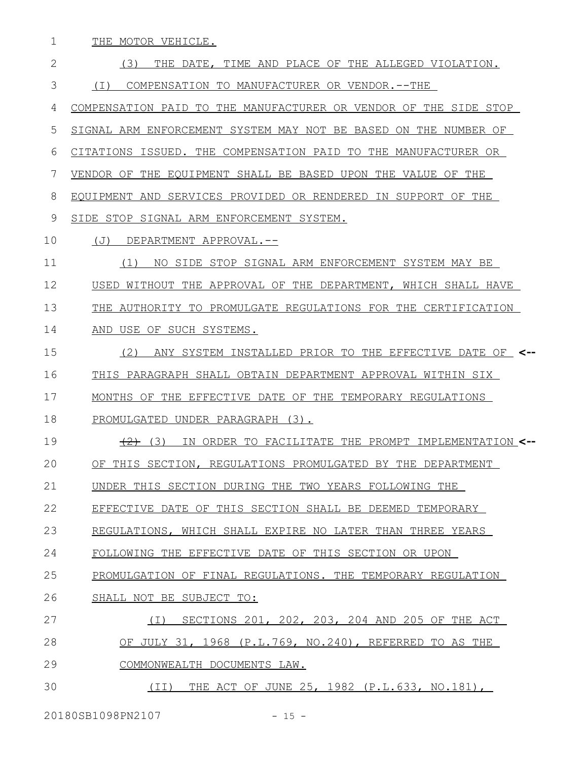THE MOTOR VEHICLE. 1

(3) THE DATE, TIME AND PLACE OF THE ALLEGED VIOLATION. (I) COMPENSATION TO MANUFACTURER OR VENDOR.--THE COMPENSATION PAID TO THE MANUFACTURER OR VENDOR OF THE SIDE STOP SIGNAL ARM ENFORCEMENT SYSTEM MAY NOT BE BASED ON THE NUMBER OF CITATIONS ISSUED. THE COMPENSATION PAID TO THE MANUFACTURER OR VENDOR OF THE EQUIPMENT SHALL BE BASED UPON THE VALUE OF THE EQUIPMENT AND SERVICES PROVIDED OR RENDERED IN SUPPORT OF THE SIDE STOP SIGNAL ARM ENFORCEMENT SYSTEM. (J) DEPARTMENT APPROVAL.-- (1) NO SIDE STOP SIGNAL ARM ENFORCEMENT SYSTEM MAY BE USED WITHOUT THE APPROVAL OF THE DEPARTMENT, WHICH SHALL HAVE THE AUTHORITY TO PROMULGATE REGULATIONS FOR THE CERTIFICATION AND USE OF SUCH SYSTEMS. (2) ANY SYSTEM INSTALLED PRIOR TO THE EFFECTIVE DATE OF **<--** THIS PARAGRAPH SHALL OBTAIN DEPARTMENT APPROVAL WITHIN SIX MONTHS OF THE EFFECTIVE DATE OF THE TEMPORARY REGULATIONS PROMULGATED UNDER PARAGRAPH (3). (2) (3) IN ORDER TO FACILITATE THE PROMPT IMPLEMENTATION **<--** OF THIS SECTION, REGULATIONS PROMULGATED BY THE DEPARTMENT UNDER THIS SECTION DURING THE TWO YEARS FOLLOWING THE EFFECTIVE DATE OF THIS SECTION SHALL BE DEEMED TEMPORARY REGULATIONS, WHICH SHALL EXPIRE NO LATER THAN THREE YEARS FOLLOWING THE EFFECTIVE DATE OF THIS SECTION OR UPON PROMULGATION OF FINAL REGULATIONS. THE TEMPORARY REGULATION SHALL NOT BE SUBJECT TO: (I) SECTIONS 201, 202, 203, 204 AND 205 OF THE ACT OF JULY 31, 1968 (P.L.769, NO.240), REFERRED TO AS THE COMMONWEALTH DOCUMENTS LAW. (II) THE ACT OF JUNE 25, 1982 (P.L.633, NO.181), 2 3 4 5 6 7 8 9 10 11 12 13 14 15 16 17 18 19 20 21 22 23 24 25 26 27 28 29 30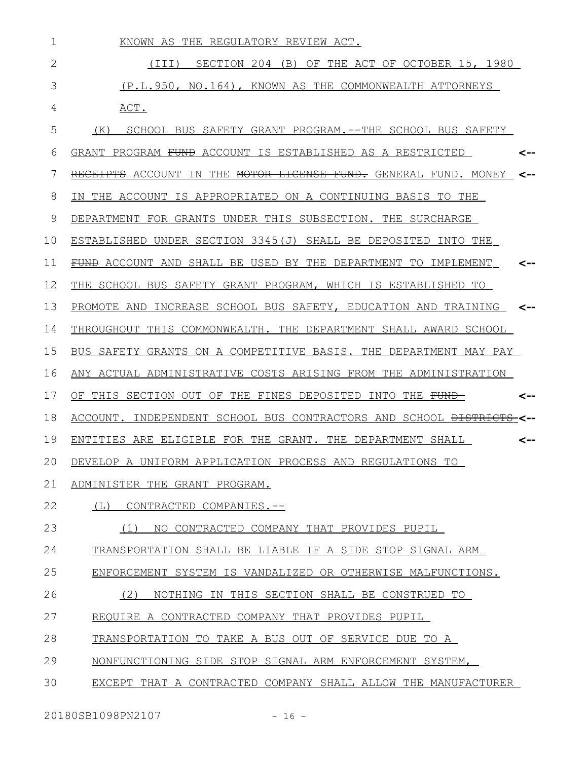| 1            | KNOWN AS THE REGULATORY REVIEW ACT.                                                           |
|--------------|-----------------------------------------------------------------------------------------------|
| $\mathbf{2}$ | SECTION 204 (B) OF THE ACT OF OCTOBER 15, 1980<br>(III)                                       |
| 3            | (P.L.950, NO.164), KNOWN AS THE COMMONWEALTH ATTORNEYS                                        |
| 4            | ACT.                                                                                          |
| 5            | SCHOOL BUS SAFETY GRANT PROGRAM. -- THE SCHOOL BUS SAFETY<br>(K)                              |
| 6            | GRANT PROGRAM <del>FUND</del> ACCOUNT IS ESTABLISHED AS A RESTRICTED<br><--                   |
| 7            | RE <del>CEIPTS</del> ACCOUNT IN THE <del>MOTOR LICENSE FUND.</del> GENERAL FUND. MONEY<br><-- |
| 8            | IN THE ACCOUNT IS APPROPRIATED ON A CONTINUING BASIS TO THE                                   |
| 9            | DEPARTMENT FOR GRANTS UNDER THIS SUBSECTION. THE SURCHARGE                                    |
| 10           | ESTABLISHED UNDER SECTION 3345(J) SHALL BE DEPOSITED INTO THE                                 |
| 11           | FUND ACCOUNT AND SHALL BE USED BY THE DEPARTMENT TO IMPLEMENT<br><--                          |
| 12           | THE SCHOOL BUS SAFETY GRANT PROGRAM, WHICH IS ESTABLISHED TO                                  |
| 13           | PROMOTE AND INCREASE SCHOOL BUS SAFETY, EDUCATION AND TRAINING <--                            |
| 14           | THROUGHOUT THIS COMMONWEALTH. THE DEPARTMENT SHALL AWARD SCHOOL                               |
| 15           | BUS SAFETY GRANTS ON A COMPETITIVE BASIS. THE DEPARTMENT MAY PAY                              |
| 16           | ANY ACTUAL ADMINISTRATIVE COSTS ARISING FROM THE ADMINISTRATION                               |
| 17           | OF THIS SECTION OUT OF THE FINES DEPOSITED INTO THE <del>FUND</del><br><--                    |
| 18           | ACCOUNT. INDEPENDENT SCHOOL BUS CONTRACTORS AND SCHOOL <del>DISTRICTS</del>                   |
| 19           | ENTITIES ARE ELIGIBLE FOR THE GRANT. THE DEPARTMENT SHALL<br><--                              |
| 20           | DEVELOP A UNIFORM APPLICATION PROCESS AND REGULATIONS TO                                      |
| 21           | ADMINISTER THE GRANT PROGRAM.                                                                 |
| 22           | (L)<br>CONTRACTED COMPANIES.--                                                                |
| 23           | NO CONTRACTED COMPANY THAT PROVIDES PUPIL<br>(1)                                              |
| 24           | TRANSPORTATION SHALL BE LIABLE IF A SIDE STOP SIGNAL ARM                                      |
| 25           | ENFORCEMENT SYSTEM IS VANDALIZED OR OTHERWISE MALFUNCTIONS.                                   |
| 26           | NOTHING IN THIS SECTION SHALL BE CONSTRUED TO<br>(2)                                          |
| 27           | REQUIRE A CONTRACTED COMPANY THAT PROVIDES PUPIL                                              |
| 28           | TRANSPORTATION TO TAKE A BUS OUT OF SERVICE DUE TO A                                          |
| 29           | NONFUNCTIONING SIDE STOP SIGNAL ARM ENFORCEMENT SYSTEM,                                       |
| 30           | EXCEPT THAT A CONTRACTED COMPANY SHALL ALLOW THE MANUFACTURER                                 |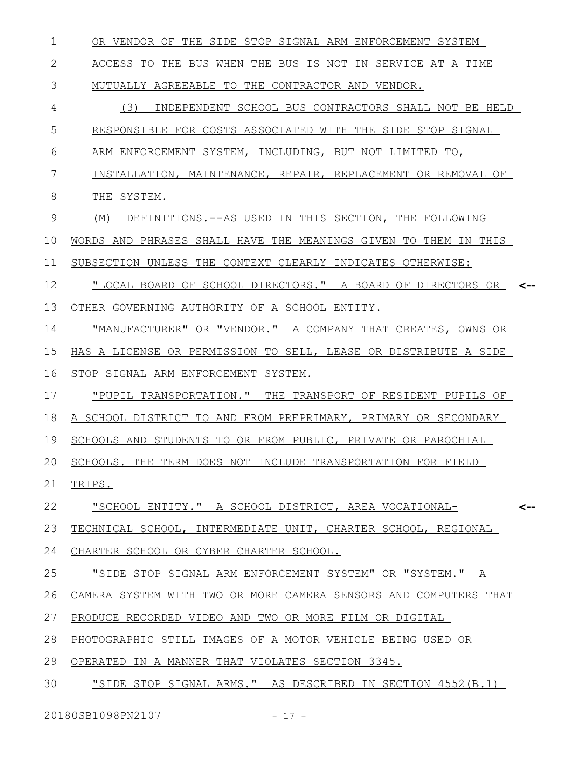| 1  | OR VENDOR OF THE SIDE STOP SIGNAL ARM ENFORCEMENT SYSTEM            |
|----|---------------------------------------------------------------------|
| 2  | ACCESS TO THE BUS WHEN THE BUS IS NOT IN SERVICE AT A TIME          |
| 3  | MUTUALLY AGREEABLE TO THE CONTRACTOR AND VENDOR.                    |
| 4  | (3)<br>INDEPENDENT SCHOOL BUS CONTRACTORS SHALL NOT BE HELD         |
| 5  | RESPONSIBLE FOR COSTS ASSOCIATED WITH THE SIDE STOP SIGNAL          |
| 6  | ARM ENFORCEMENT SYSTEM, INCLUDING, BUT NOT LIMITED TO,              |
| 7  | INSTALLATION, MAINTENANCE, REPAIR, REPLACEMENT OR REMOVAL OF        |
| 8  | THE SYSTEM.                                                         |
| 9  | DEFINITIONS. -- AS USED IN THIS SECTION, THE FOLLOWING<br>(M)       |
| 10 | WORDS AND PHRASES SHALL HAVE THE MEANINGS GIVEN TO THEM IN THIS     |
| 11 | SUBSECTION UNLESS THE CONTEXT CLEARLY INDICATES OTHERWISE:          |
| 12 | "LOCAL BOARD OF SCHOOL DIRECTORS." A BOARD OF DIRECTORS OR <--      |
| 13 | OTHER GOVERNING AUTHORITY OF A SCHOOL ENTITY.                       |
| 14 | "MANUFACTURER" OR "VENDOR." A COMPANY THAT CREATES, OWNS OR         |
| 15 | HAS A LICENSE OR PERMISSION TO SELL, LEASE OR DISTRIBUTE A SIDE     |
| 16 | STOP SIGNAL ARM ENFORCEMENT SYSTEM.                                 |
| 17 | "PUPIL TRANSPORTATION." THE TRANSPORT OF RESIDENT PUPILS OF         |
| 18 | A SCHOOL DISTRICT TO AND FROM PREPRIMARY, PRIMARY OR SECONDARY      |
| 19 | SCHOOLS AND STUDENTS TO OR FROM PUBLIC, PRIVATE OR PAROCHIAL        |
| 20 | SCHOOLS. THE TERM DOES NOT INCLUDE TRANSPORTATION FOR FIELD         |
| 21 | TRIPS.                                                              |
| 22 | <u> "SCHOOL ENTITY." A SCHOOL DISTRICT, AREA VOCATIONAL-</u><br><-- |
| 23 | TECHNICAL SCHOOL, INTERMEDIATE UNIT, CHARTER SCHOOL, REGIONAL       |
| 24 | CHARTER SCHOOL OR CYBER CHARTER SCHOOL.                             |
| 25 | "SIDE STOP SIGNAL ARM ENFORCEMENT SYSTEM" OR "SYSTEM." A            |
| 26 | CAMERA SYSTEM WITH TWO OR MORE CAMERA SENSORS AND COMPUTERS THAT    |
| 27 | PRODUCE RECORDED VIDEO AND TWO OR MORE FILM OR DIGITAL              |
| 28 | PHOTOGRAPHIC STILL IMAGES OF A MOTOR VEHICLE BEING USED OR          |
| 29 | OPERATED IN A MANNER THAT VIOLATES SECTION 3345.                    |
| 30 | "SIDE STOP SIGNAL ARMS." AS DESCRIBED IN SECTION 4552 (B.1)         |

20180SB1098PN2107 - 17 -